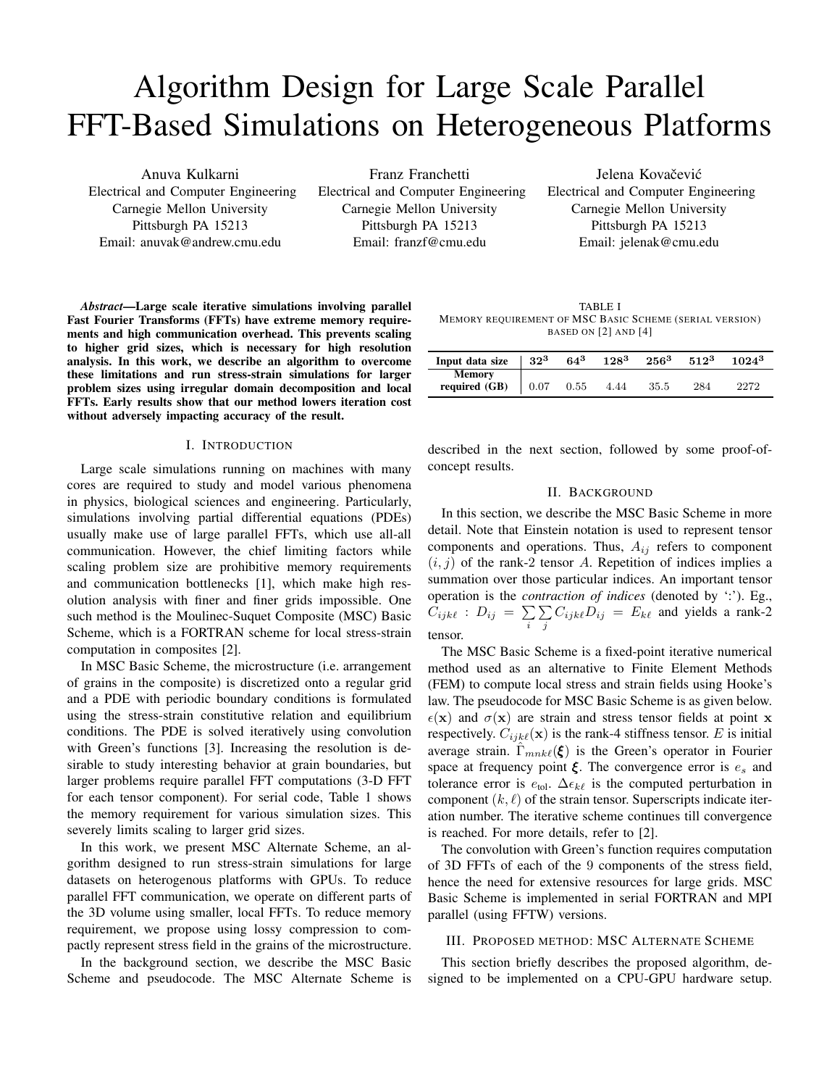# Algorithm Design for Large Scale Parallel FFT-Based Simulations on Heterogeneous Platforms

Anuva Kulkarni Electrical and Computer Engineering Carnegie Mellon University Pittsburgh PA 15213 Email: anuvak@andrew.cmu.edu

Franz Franchetti Electrical and Computer Engineering Carnegie Mellon University Pittsburgh PA 15213 Email: franzf@cmu.edu

Jelena Kovačević Electrical and Computer Engineering Carnegie Mellon University Pittsburgh PA 15213 Email: jelenak@cmu.edu

*Abstract*—Large scale iterative simulations involving parallel Fast Fourier Transforms (FFTs) have extreme memory requirements and high communication overhead. This prevents scaling to higher grid sizes, which is necessary for high resolution analysis. In this work, we describe an algorithm to overcome these limitations and run stress-strain simulations for larger problem sizes using irregular domain decomposition and local FFTs. Early results show that our method lowers iteration cost without adversely impacting accuracy of the result.

# I. INTRODUCTION

Large scale simulations running on machines with many cores are required to study and model various phenomena in physics, biological sciences and engineering. Particularly, simulations involving partial differential equations (PDEs) usually make use of large parallel FFTs, which use all-all communication. However, the chief limiting factors while scaling problem size are prohibitive memory requirements and communication bottlenecks [1], which make high resolution analysis with finer and finer grids impossible. One such method is the Moulinec-Suquet Composite (MSC) Basic Scheme, which is a FORTRAN scheme for local stress-strain computation in composites [2].

In MSC Basic Scheme, the microstructure (i.e. arrangement of grains in the composite) is discretized onto a regular grid and a PDE with periodic boundary conditions is formulated using the stress-strain constitutive relation and equilibrium conditions. The PDE is solved iteratively using convolution with Green's functions [3]. Increasing the resolution is desirable to study interesting behavior at grain boundaries, but larger problems require parallel FFT computations (3-D FFT for each tensor component). For serial code, Table 1 shows the memory requirement for various simulation sizes. This severely limits scaling to larger grid sizes.

In this work, we present MSC Alternate Scheme, an algorithm designed to run stress-strain simulations for large datasets on heterogenous platforms with GPUs. To reduce parallel FFT communication, we operate on different parts of the 3D volume using smaller, local FFTs. To reduce memory requirement, we propose using lossy compression to compactly represent stress field in the grains of the microstructure.

In the background section, we describe the MSC Basic Scheme and pseudocode. The MSC Alternate Scheme is

TABLE I MEMORY REQUIREMENT OF MSC BASIC SCHEME (SERIAL VERSION) BASED ON [2] AND [4]

| Input data size                | $32^3$ | $64^{3}$ | $128^{3}$ | $256^{3}$ | $512^3$ | $1024^{3}$ |
|--------------------------------|--------|----------|-----------|-----------|---------|------------|
| <b>Memory</b><br>required (GB) | 0.07   | 0.55     | 4.44      | 35.5      | 284     |            |

described in the next section, followed by some proof-ofconcept results.

## II. BACKGROUND

In this section, we describe the MSC Basic Scheme in more detail. Note that Einstein notation is used to represent tensor components and operations. Thus,  $A_{ij}$  refers to component  $(i, j)$  of the rank-2 tensor A. Repetition of indices implies a summation over those particular indices. An important tensor operation is the *contraction of indices* (denoted by ':'). Eg.,  $C_{ijk\ell}$  :  $D_{ij} = \sum$ i P  $\sum_{j} C_{ijk\ell} D_{ij} = E_{k\ell}$  and yields a rank-2 tensor.

The MSC Basic Scheme is a fixed-point iterative numerical method used as an alternative to Finite Element Methods (FEM) to compute local stress and strain fields using Hooke's law. The pseudocode for MSC Basic Scheme is as given below.  $\epsilon(\mathbf{x})$  and  $\sigma(\mathbf{x})$  are strain and stress tensor fields at point x respectively.  $C_{i j k \ell}(\mathbf{x})$  is the rank-4 stiffness tensor. E is initial average strain.  $\hat{\Gamma}_{mnk\ell}(\xi)$  is the Green's operator in Fourier space at frequency point  $\xi$ . The convergence error is  $e_s$  and tolerance error is  $e_{\text{tol}}$ .  $\Delta \epsilon_{k\ell}$  is the computed perturbation in component  $(k, \ell)$  of the strain tensor. Superscripts indicate iteration number. The iterative scheme continues till convergence is reached. For more details, refer to [2].

The convolution with Green's function requires computation of 3D FFTs of each of the 9 components of the stress field, hence the need for extensive resources for large grids. MSC Basic Scheme is implemented in serial FORTRAN and MPI parallel (using FFTW) versions.

## III. PROPOSED METHOD: MSC ALTERNATE SCHEME

This section briefly describes the proposed algorithm, designed to be implemented on a CPU-GPU hardware setup.